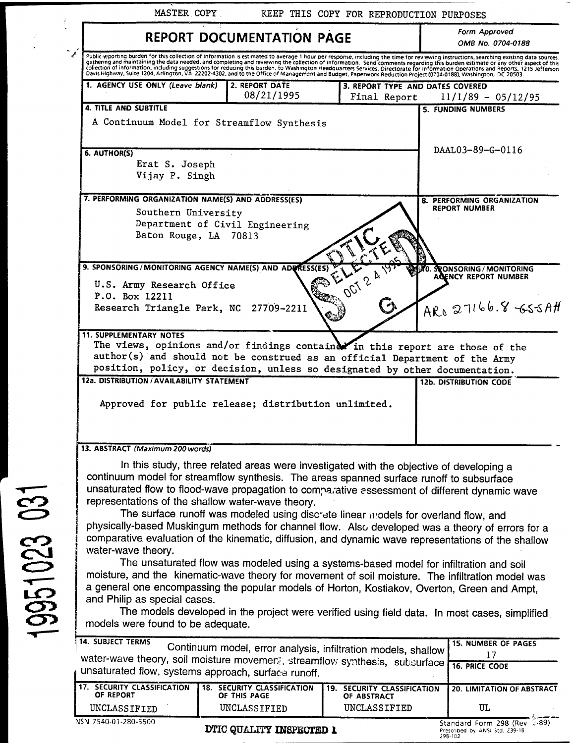|              | MASTER COPY<br>KEEP THIS COPY FOR REPRODUCTION PURPOSES                                                                                                                                                                                                                                                                                                                                                                                                                                                                                                                                                                                                                                                                                                                                                                                                                                                                                                                                                                                                                                                                                                                    |  |  |
|--------------|----------------------------------------------------------------------------------------------------------------------------------------------------------------------------------------------------------------------------------------------------------------------------------------------------------------------------------------------------------------------------------------------------------------------------------------------------------------------------------------------------------------------------------------------------------------------------------------------------------------------------------------------------------------------------------------------------------------------------------------------------------------------------------------------------------------------------------------------------------------------------------------------------------------------------------------------------------------------------------------------------------------------------------------------------------------------------------------------------------------------------------------------------------------------------|--|--|
|              | Form Approved<br><b>REPORT DOCUMENTATION PAGE</b><br>OMB No. 0704-0188                                                                                                                                                                                                                                                                                                                                                                                                                                                                                                                                                                                                                                                                                                                                                                                                                                                                                                                                                                                                                                                                                                     |  |  |
|              | Public eporting burden for this collection of information is estimated to average 1 hour per response, including the time for reviewing instructions, searching existing data sources.<br>pathering and maintaining the data needed, and completing and reviewing the collection of information. Send comments regarding this burden estimate or any other aspect of this collection of information, including suggestio                                                                                                                                                                                                                                                                                                                                                                                                                                                                                                                                                                                                                                                                                                                                                   |  |  |
|              | 1. AGENCY USE ONLY (Leave blank)<br>2. REPORT DATE<br>3. REPORT TYPE AND DATES COVERED<br>08/21/1995<br>Final Report<br>$11/1/89 - 05/12/95$                                                                                                                                                                                                                                                                                                                                                                                                                                                                                                                                                                                                                                                                                                                                                                                                                                                                                                                                                                                                                               |  |  |
|              | <b>4. TITLE AND SUBTITLE</b><br><b>5. FUNDING NUMBERS</b><br>A Continuum Model for Streamflow Synthesis                                                                                                                                                                                                                                                                                                                                                                                                                                                                                                                                                                                                                                                                                                                                                                                                                                                                                                                                                                                                                                                                    |  |  |
|              | DAAL03-89-G-0116<br>6. AUTHOR(S)<br>Erat S. Joseph<br>Vijay P. Singh                                                                                                                                                                                                                                                                                                                                                                                                                                                                                                                                                                                                                                                                                                                                                                                                                                                                                                                                                                                                                                                                                                       |  |  |
|              | 7. PERFORMING ORGANIZATION NAME(S) AND ADDRESS(ES)<br><b>8. PERFORMING ORGANIZATION</b><br><b>REPORT NUMBER</b><br>Southern University<br>Department of Civil Engineering<br>Baton Rouge, LA 70813                                                                                                                                                                                                                                                                                                                                                                                                                                                                                                                                                                                                                                                                                                                                                                                                                                                                                                                                                                         |  |  |
|              | 9. SPONSORING/MONITORING AGENCY NAME(S) AND ADORESS(ES)<br>OCT 2 A TOM<br><b>SPONSORING/MONITORING</b><br>0.<br>AGENCY REPORT NUMBER<br>U.S. Army Research Office<br>P.O. Box 12211<br>$AR_{0}27166.8555A#$<br>27709-2211<br>Research Triangle Park, NC<br>€∴                                                                                                                                                                                                                                                                                                                                                                                                                                                                                                                                                                                                                                                                                                                                                                                                                                                                                                              |  |  |
|              | <b>11. SUPPLEMENTARY NOTES</b><br>The views, opinions and/or findings container in this report are those of the<br>author(s) and should not be construed as an official Department of the Army<br>position, policy, or decision, unless so designated by other documentation.<br>12a. DISTRIBUTION / AVAILABILITY STATEMENT<br><b>12b. DISTRIBUTION CODE</b>                                                                                                                                                                                                                                                                                                                                                                                                                                                                                                                                                                                                                                                                                                                                                                                                               |  |  |
|              | Approved for public release; distribution unlimited.                                                                                                                                                                                                                                                                                                                                                                                                                                                                                                                                                                                                                                                                                                                                                                                                                                                                                                                                                                                                                                                                                                                       |  |  |
| 19951023 031 | 13. ABSTRACT (Maximum 200 words)<br>In this study, three related areas were investigated with the objective of developing a<br>continuum model for streamflow synthesis. The areas spanned surface runoff to subsurface<br>unsaturated flow to flood-wave propagation to comparative assessment of different dynamic wave<br>representations of the shallow water-wave theory.<br>The surface runoff was modeled using discrete linear models for overland flow, and<br>physically-based Muskingum methods for channel flow. Also developed was a theory of errors for a<br>comparative evaluation of the kinematic, diffusion, and dynamic wave representations of the shallow<br>water-wave theory.<br>The unsaturated flow was modeled using a systems-based model for infiltration and soil<br>moisture, and the kinematic-wave theory for movement of soil moisture. The infiltration model was<br>a general one encompassing the popular models of Horton, Kostiakov, Overton, Green and Ampt,<br>and Philip as special cases.<br>The models developed in the project were verified using field data. In most cases, simplified<br>models were found to be adequate. |  |  |
|              | <b>14. SUBJECT TERMS</b><br><b>15. NUMBER OF PAGES</b><br>Continuum model, error analysis, infiltration models, shallow<br>17<br>water-wave theory, soil moisture movemers, streamflow synthesis, subsurface<br><b>16. PRICE CODE</b><br>unsaturated flow, systems approach, surface runoff.                                                                                                                                                                                                                                                                                                                                                                                                                                                                                                                                                                                                                                                                                                                                                                                                                                                                               |  |  |

| 17. SECURITY CLASSIFICATION<br>OF REPORT | 18.<br>SECURITY CLASSIFICATION<br>OF THIS PAGE | 19. SECURITY CLASSIFICATION<br>OF ABSTRACT | <b>20. LIMITATION OF ABSTRACT</b>                             |
|------------------------------------------|------------------------------------------------|--------------------------------------------|---------------------------------------------------------------|
| UNCLASSIFIED                             | UNCLASSIFIED                                   | UNCLASSIFIED                               | UL                                                            |
| NSN 7540-01-280-5500                     | TUREA AFTA FIRME TATALLAMENT A                 |                                            | <b>The company's ancient</b><br>Standard Form 298 (Rev. 2-89) |

DTIC QUALITY INSPECTED 1

**Standard Form 298 (Rev i-89) Prescribed by ANSI Std. Z39-18 298-102**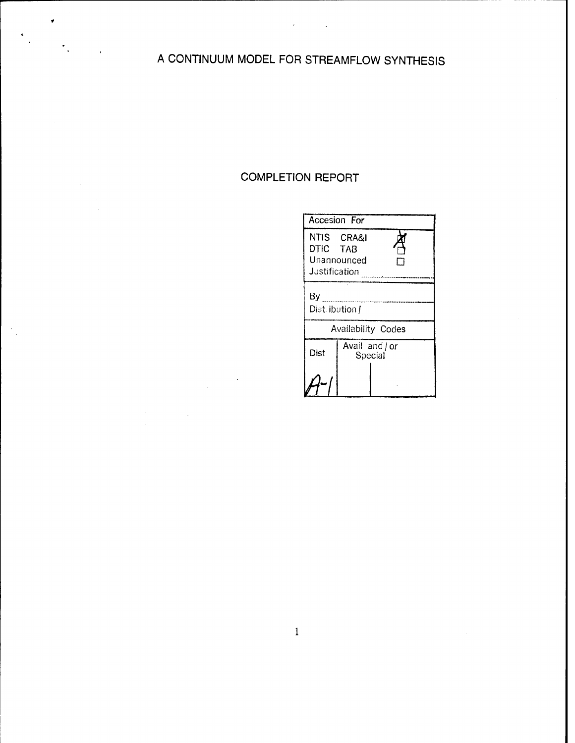# A CONTINUUM MODEL FOR STREAMFLOW SYNTHESIS

## COMPLETION REPORT

| <b>Accesion For</b>                                    |                           |  |  |  |  |
|--------------------------------------------------------|---------------------------|--|--|--|--|
| NTIS CRA&I<br>DTIC TAB<br>Unannounced<br>Justification |                           |  |  |  |  |
| By<br>Dist. ibution /                                  |                           |  |  |  |  |
| <b>Availability Codes</b>                              |                           |  |  |  |  |
| Dist                                                   | Avail and / or<br>Special |  |  |  |  |
|                                                        |                           |  |  |  |  |

 $\mathbf{1}$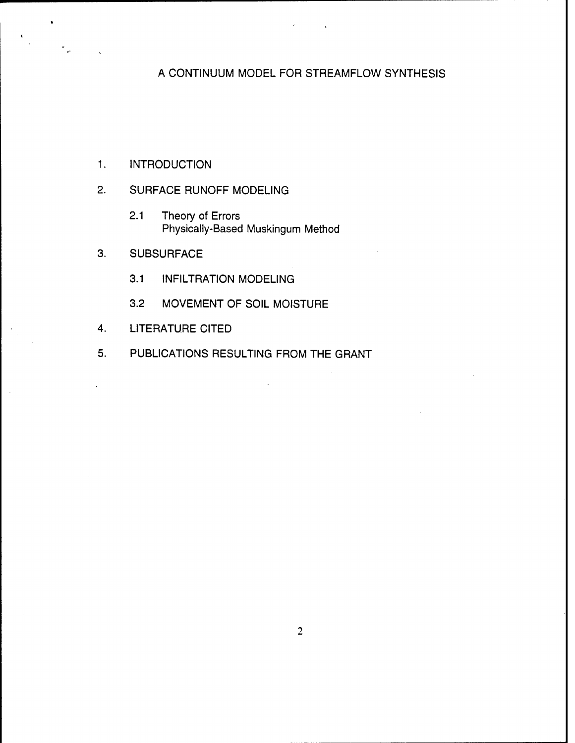## A CONTINUUM MODEL FOR STREAMFLOW SYNTHESIS

- 1. INTRODUCTION
- 2. SURFACE RUNOFF MODELING
	- 2.1 Theory of Errors Physically-Based Muskingum Method
- 3. SUBSURFACE
	- 3.1 INFILTRATION MODELING
	- 3.2 MOVEMENT OF SOIL MOISTURE
- 4. LITERATURE CITED
- 5. PUBLICATIONS RESULTING FROM THE GRANT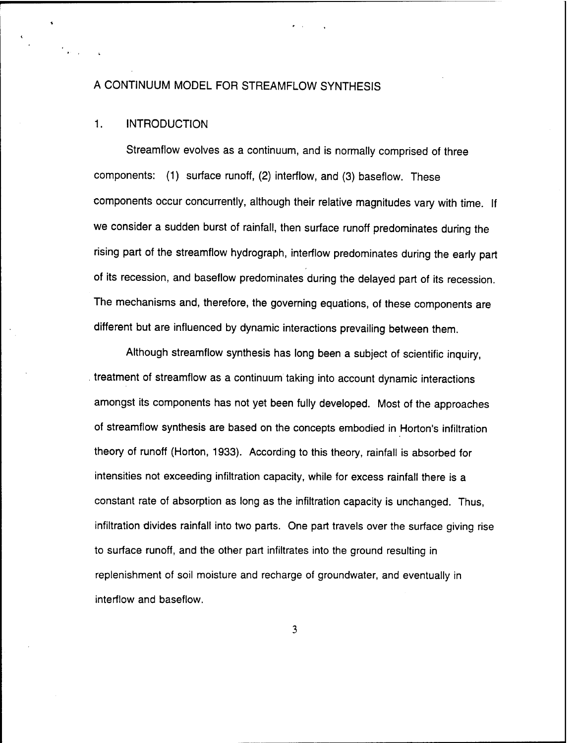#### A CONTINUUM MODEL FOR STREAMFLOW SYNTHESIS

#### 1. INTRODUCTION

Streamflow evolves as a continuum, and is normally comprised of three components: (1) surface runoff, (2) interflow, and (3) baseflow. These components occur concurrently, although their relative magnitudes vary with time. If we consider a sudden burst of rainfall, then surface runoff predominates during the rising part of the streamflow hydrograph, interflow predominates during the early part of its recession, and baseflow predominates during the delayed part of its recession. The mechanisms and, therefore, the governing equations, of these components are different but are influenced by dynamic interactions prevailing between them.

Although streamflow synthesis has long been a subject of scientific inquiry, treatment of streamflow as a continuum taking into account dynamic interactions amongst its components has not yet been fully developed. Most of the approaches of streamflow synthesis are based on the concepts embodied in Horton's infiltration theory of runoff (Horton, 1933). According to this theory, rainfall is absorbed for intensities not exceeding infiltration capacity, while for excess rainfall there is a constant rate of absorption as long as the infiltration capacity is unchanged. Thus, infiltration divides rainfall into two parts. One part travels over the surface giving rise to surface runoff, and the other part infiltrates into the ground resulting in replenishment of soil moisture and recharge of groundwater, and eventually in interflow and baseflow.

 $\overline{\mathbf{3}}$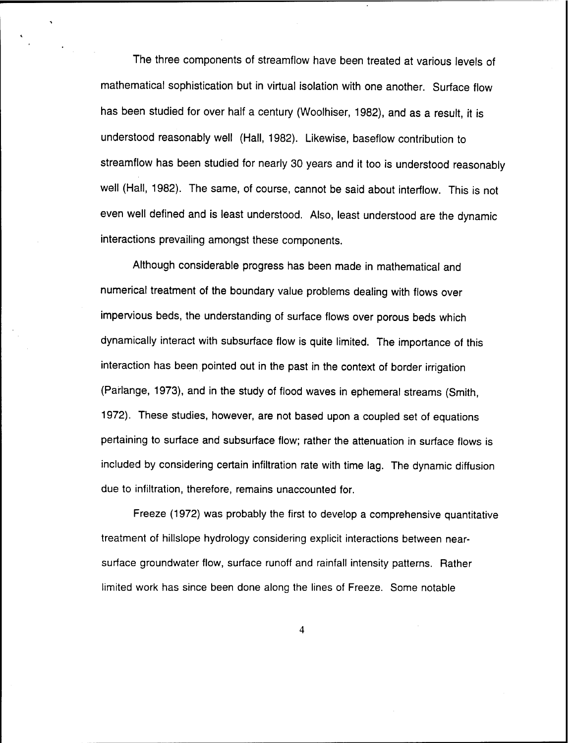The three components of streamflow have been treated at various levels of mathematical sophistication but in virtual isolation with one another. Surface flow has been studied for over half a century (Woolhiser, 1982), and as a result, it is understood reasonably well (Hall, 1982). Likewise, baseflow contribution to streamflow has been studied for nearly 30 years and it too is understood reasonably well (Hall, 1982). The same, of course, cannot be said about interflow. This is not even well defined and is least understood. Also, least understood are the dynamic interactions prevailing amongst these components.

Although considerable progress has been made in mathematical and numerical treatment of the boundary value problems dealing with flows over impervious beds, the understanding of surface flows over porous beds which dynamically interact with subsurface flow is quite limited. The importance of this interaction has been pointed out in the past in the context of border irrigation (Parlange, 1973), and in the study of flood waves in ephemeral streams (Smith, 1972). These studies, however, are not based upon a coupled set of equations pertaining to surface and subsurface flow; rather the attenuation in surface flows is included by considering certain infiltration rate with time lag. The dynamic diffusion due to infiltration, therefore, remains unaccounted for.

Freeze (1972) was probably the first to develop a comprehensive quantitative treatment of hillslope hydrology considering explicit interactions between nearsurface groundwater flow, surface runoff and rainfall intensity patterns. Rather limited work has since been done along the lines of Freeze. Some notable

 $\overline{\mathbf{4}}$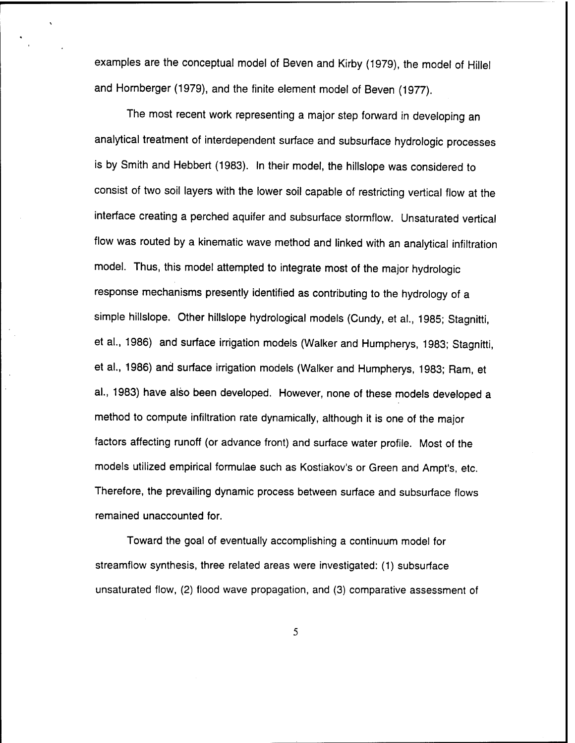examples are the conceptual model of Beven and Kirby (1979), the model of Hillel and Hornberger (1979), and the finite element model of Beven (1977).

The most recent work representing a major step forward in developing an analytical treatment of interdependent surface and subsurface hydrologic processes is by Smith and Hebbert (1983). In their model, the hillslope was considered to consist of two soil layers with the lower soil capable of restricting vertical flow at the interface creating a perched aquifer and subsurface stormflow. Unsaturated vertical flow was routed by a kinematic wave method and linked with an analytical infiltration model. Thus, this model attempted to integrate most of the major hydrologic response mechanisms presently identified as contributing to the hydrology of a simple hillslope. Other hillslope hydrological models (Cundy, et al., 1985; Stagnitti, et al., 1986) and surface irrigation models (Walker and Humpherys, 1983; Stagnitti, et al., 1986) and surface irrigation models (Walker and Humpherys, 1983; Ram, et al., 1983) have also been developed. However, none of these models developed a method to compute infiltration rate dynamically, although it is one of the major factors affecting runoff (or advance front) and surface water profile. Most of the models utilized empirical formulae such as Kostiakov's or Green and Ampt's, etc. Therefore, the prevailing dynamic process between surface and subsurface flows remained unaccounted for.

Toward the goal of eventually accomplishing a continuum model for streamflow synthesis, three related areas were investigated: (1) subsurface unsaturated flow, (2) flood wave propagation, and (3) comparative assessment of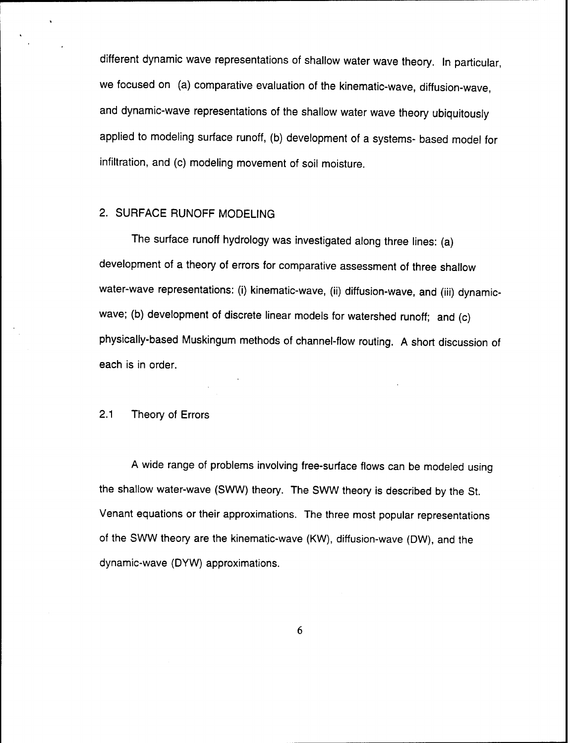different dynamic wave representations of shallow water wave theory. In particular, we focused on (a) comparative evaluation of the kinematic-wave, diffusion-wave, and dynamic-wave representations of the shallow water wave theory ubiquitously applied to modeling surface runoff, (b) development of a systems- based model for infiltration, and (c) modeling movement of soil moisture.

## 2. SURFACE RUNOFF MODELING

The surface runoff hydrology was investigated along three lines: (a) development of a theory of errors for comparative assessment of three shallow water-wave representations: (i) kinematic-wave, (ii) diffusion-wave, and (iii) dynamicwave; (b) development of discrete linear models for watershed runoff; and (c) physically-based Muskingum methods of channel-flow routing. A short discussion of each is in order.

#### 2.1 Theory of Errors

A wide range of problems involving free-surface flows can be modeled using the shallow water-wave (SWW) theory. The SWW theory is described by the St. Venant equations or their approximations. The three most popular representations of the SWW theory are the kinematic-wave (KW), diffusion-wave (DW), and the dynamic-wave (DYW) approximations.

 $6 \overline{6}$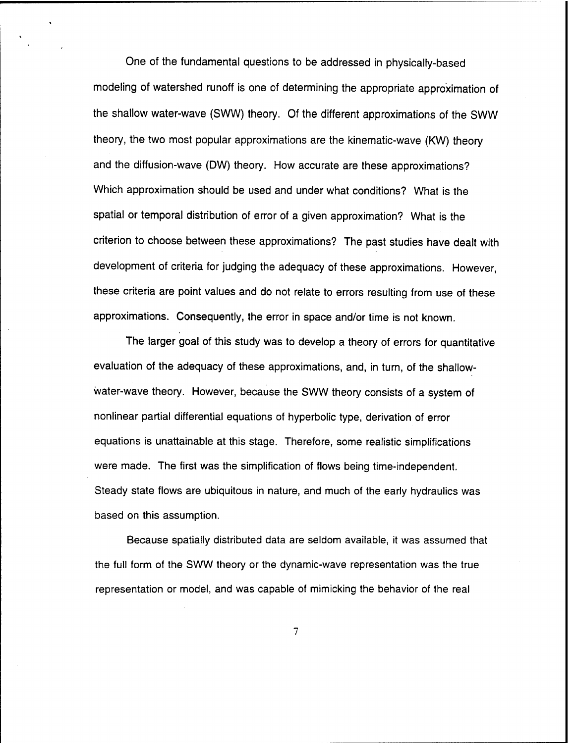One of the fundamental questions to be addressed in physically-based modeling of watershed runoff is one of determining the appropriate approximation of the shallow water-wave (SWW) theory. Of the different approximations of the SWW theory, the two most popular approximations are the kinematic-wave (KW) theory and the diffusion-wave (DW) theory. How accurate are these approximations? Which approximation should be used and under what conditions? What is the spatial or temporal distribution of error of a given approximation? What is the criterion to choose between these approximations? The past studies have dealt with development of criteria for judging the adequacy of these approximations. However, these criteria are point values and do not relate to errors resulting from use of these approximations. Consequently, the error in space and/or time is not known.

The larger goal of this study was to develop a theory of errors for quantitative evaluation of the adequacy of these approximations, and, in turn, of the shallowwater-wave theory. However, because the SWW theory consists of a system of nonlinear partial differential equations of hyperbolic type, derivation of error equations is unattainable at this stage. Therefore, some realistic simplifications were made. The first was the simplification of flows being time-independent. Steady state flows are ubiquitous in nature, and much of the early hydraulics was based on this assumption.

Because spatially distributed data are seldom available, it was assumed that the full form of the SWW theory or the dynamic-wave representation was the true representation or model, and was capable of mimicking the behavior of the real

 $\overline{7}$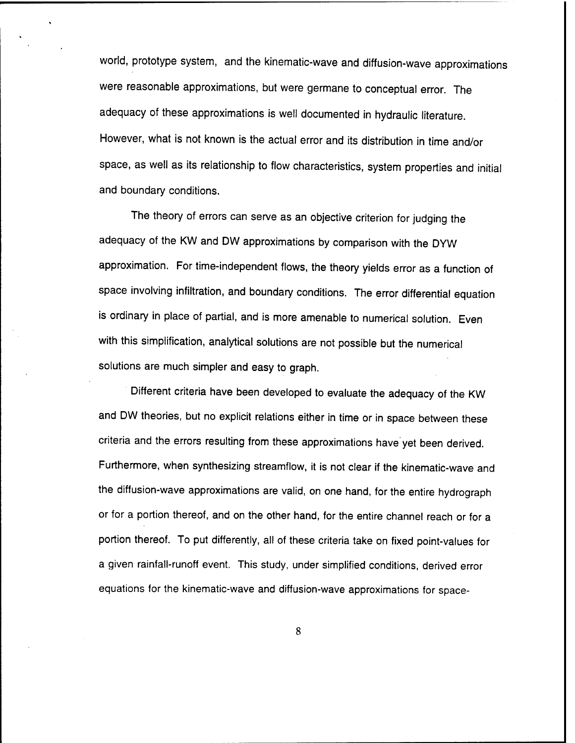world, prototype system, and the kinematic-wave and diffusion-wave approximations were reasonable approximations, but were germane to conceptual error. The adequacy of these approximations is well documented in hydraulic literature. However, what is not known is the actual error and its distribution in time and/or space, as well as its relationship to flow characteristics, system properties and initial and boundary conditions.

The theory of errors can serve as an objective criterion for judging the adequacy of the KW and DW approximations by comparison with the DYW approximation. For time-independent flows, the theory yields error as a function of space involving infiltration, and boundary conditions. The error differential equation is ordinary in place of partial, and is more amenable to numerical solution. Even with this simplification, analytical solutions are not possible but the numerical solutions are much simpler and easy to graph.

Different criteria have been developed to evaluate the adequacy of the KW and DW theories, but no explicit relations either in time or in space between these criteria and the errors resulting from these approximations have yet been derived. Furthermore, when synthesizing streamflow, it is not clear if the kinematic-wave and the diffusion-wave approximations are valid, on one hand, for the entire hydrograph or for a portion thereof, and on the other hand, for the entire channel reach or for a portion thereof. To put differently, all of these criteria take on fixed point-values for a given rainfall-runoff event. This study, under simplified conditions, derived error equations for the kinematic-wave and diffusion-wave approximations for space-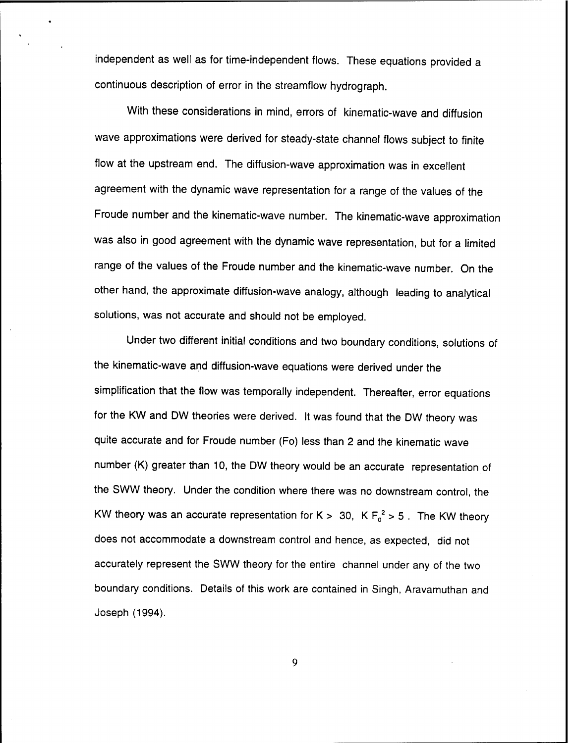independent as well as for time-independent flows. These equations provided a continuous description of error in the streamflow hydrograph.

With these considerations in mind, errors of kinematic-wave and diffusion wave approximations were derived for steady-state channel flows subject to finite flow at the upstream end. The diffusion-wave approximation was in excellent agreement with the dynamic wave representation for a range of the values of the Froude number and the kinematic-wave number. The kinematic-wave approximation was also in good agreement with the dynamic wave representation, but for a limited range of the values of the Froude number and the kinematic-wave number. On the other hand, the approximate diffusion-wave analogy, although leading to analytical solutions, was not accurate and should not be employed.

Under two different initial conditions and two boundary conditions, solutions of the kinematic-wave and diffusion-wave equations were derived under the simplification that the flow was temporally independent. Thereafter, error equations for the KW and DW theories were derived. It was found that the DW theory was quite accurate and for Froude number (Fo) less than 2 and the kinematic wave number (K) greater than 10, the DW theory would be an accurate representation of the SWW theory. Under the condition where there was no downstream control, the KW theory was an accurate representation for K > 30, K  $F_0^2$  > 5. The KW theory does not accommodate a downstream control and hence, as expected, did not accurately represent the SWW theory for the entire channel under any of the two boundary conditions. Details of this work are contained in Singh, Aravamuthan and Joseph (1994).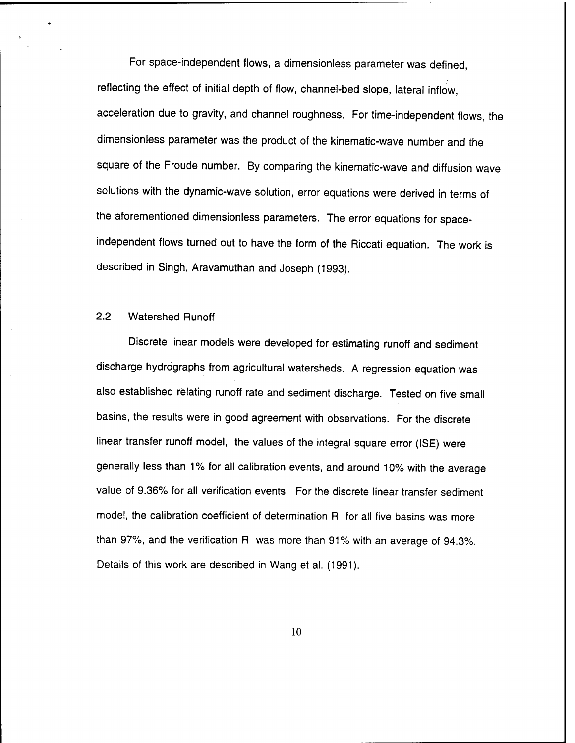For space-independent flows, a dimensionless parameter was defined, reflecting the effect of initial depth of flow, channel-bed slope, lateral inflow, acceleration due to gravity, and channel roughness. For time-independent flows, the dimensionless parameter was the product of the kinematic-wave number and the square of the Froude number. By comparing the kinematic-wave and diffusion wave solutions with the dynamic-wave solution, error equations were derived in terms of the aforementioned dimensionless parameters. The error equations for spaceindependent flows turned out to have the form of the Riccati equation. The work is described in Singh, Aravamuthan and Joseph (1993).

## 2.2 Watershed Runoff

Discrete linear models were developed for estimating runoff and sediment discharge hydrographs from agricultural watersheds. A regression equation was also established relating runoff rate and sediment discharge. Tested on five small basins, the results were in good agreement with observations. For the discrete linear transfer runoff model, the values of the integral square error (ISE) were generally less than 1% for all calibration events, and around 10% with the average value of 9.36% for all verification events. For the discrete linear transfer sediment model, the calibration coefficient of determination R for all five basins was more than 97%, and the verification R was more than 91% with an average of 94.3%. Details of this work are described in Wang et al. (1991).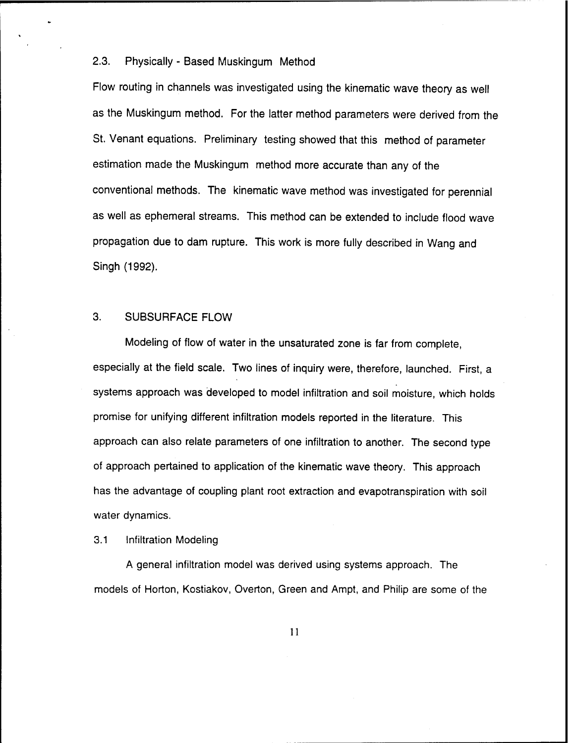#### 2.3. Physically - Based Muskingum Method

Flow routing in channels was investigated using the kinematic wave theory as well as the Muskingum method. For the latter method parameters were derived from the St. Venant equations. Preliminary testing showed that this method of parameter estimation made the Muskingum method more accurate than any of the conventional methods. The kinematic wave method was investigated for perennial as well as ephemeral streams. This method can be extended to include flood wave propagation due to dam rupture. This work is more fully described in Wang and Singh (1992).

## 3. SUBSURFACE FLOW

Modeling of flow of water in the unsaturated zone is far from complete, especially at the field scale. Two lines of inquiry were, therefore, launched. First, a systems approach was developed to model infiltration and soil moisture, which holds promise for unifying different infiltration models reported in the literature. This approach can also relate parameters of one infiltration to another. The second type of approach pertained to application of the kinematic wave theory. This approach has the advantage of coupling plant root extraction and evapotranspiration with soil water dynamics.

#### 3.1 Infiltration Modeling

A general infiltration model was derived using systems approach. The models of Horton, Kostiakov, Overton, Green and Ampt, and Philip are some of the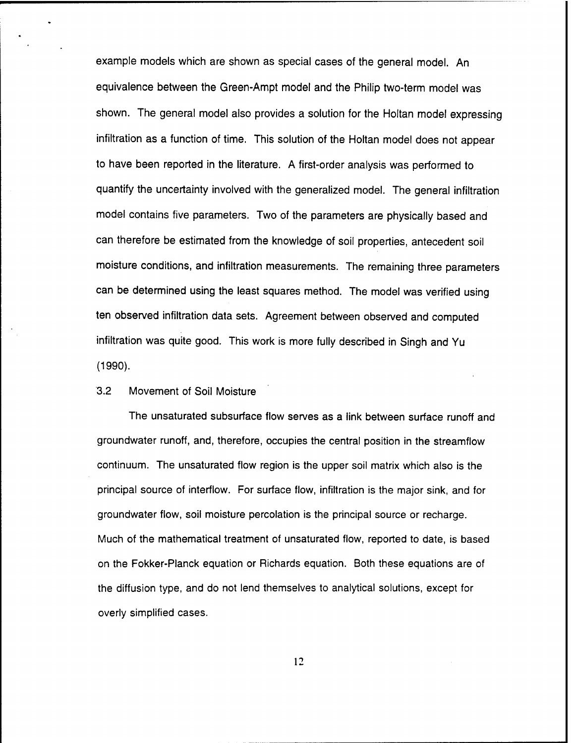example models which are shown as special cases of the general model. An equivalence between the Green-Ampt model and the Philip two-term model was shown. The general model also provides a solution for the Holtan model expressing infiltration as a function of time. This solution of the Holtan model does not appear to have been reported in the literature. A first-order analysis was performed to quantify the uncertainty involved with the generalized model. The general infiltration model contains five parameters. Two of the parameters are physically based and can therefore be estimated from the knowledge of soil properties, antecedent soil moisture conditions, and infiltration measurements. The remaining three parameters can be determined using the least squares method. The model was verified using ten observed infiltration data sets. Agreement between observed and computed infiltration was quite good. This work is more fully described in Singh and Yu (1990).

#### 3.2 Movement of Soil Moisture

The unsaturated subsurface flow serves as a link between surface runoff and groundwater runoff, and, therefore, occupies the central position in the streamflow continuum. The unsaturated flow region is the upper soil matrix which also is the principal source of interflow. For surface flow, infiltration is the major sink, and for groundwater flow, soil moisture percolation is the principal source or recharge. Much of the mathematical treatment of unsaturated flow, reported to date, is based on the Fokker-Planck equation or Richards equation. Both these equations are of the diffusion type, and do not lend themselves to analytical solutions, except for overly simplified cases.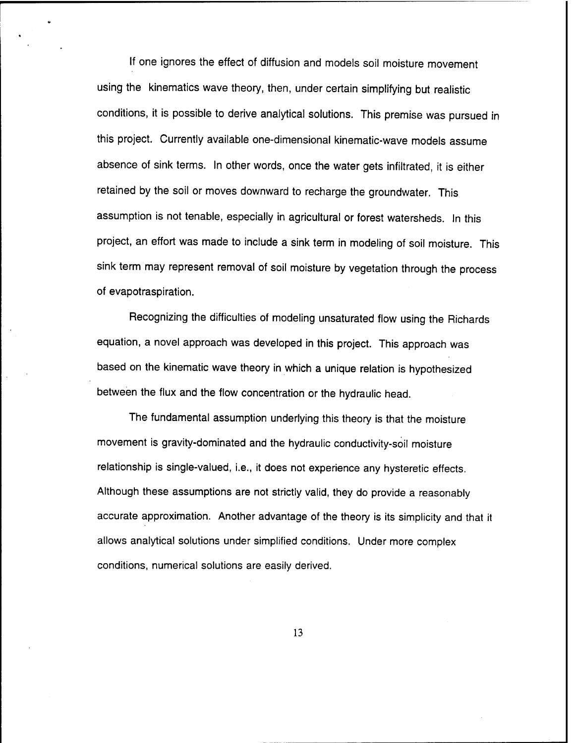If one ignores the effect of diffusion and models soil moisture movement using the kinematics wave theory, then, under certain simplifying but realistic conditions, it is possible to derive analytical solutions. This premise was pursued in this project. Currently available one-dimensional kinematic-wave models assume absence of sink terms. In other words, once the water gets infiltrated, it is either retained by the soil or moves downward to recharge the groundwater. This assumption is not tenable, especially in agricultural or forest watersheds. In this project, an effort was made to include a sink term in modeling of soil moisture. This sink term may represent removal of soil moisture by vegetation through the process of evapotraspiration.

Recognizing the difficulties of modeling unsaturated flow using the Richards equation, a novel approach was developed in this project. This approach was based on the kinematic wave theory in which a unique relation is hypothesized between the flux and the flow concentration or the hydraulic head.

The fundamental assumption underlying this theory is that the moisture movement is gravity-dominated and the hydraulic conductivity-soil moisture relationship is single-valued, i.e., it does not experience any hysteretic effects. Although these assumptions are not strictly valid, they do provide a reasonably accurate approximation. Another advantage of the theory is its simplicity and that it allows analytical solutions under simplified conditions. Under more complex conditions, numerical solutions are easily derived.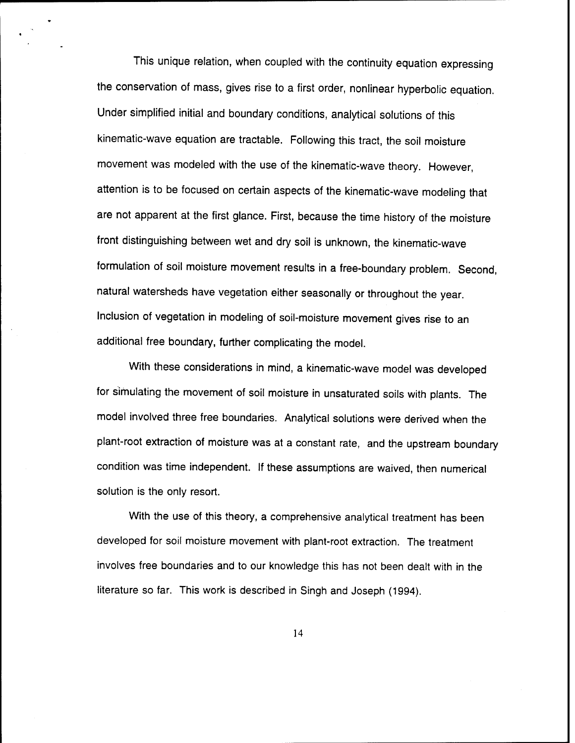This unique relation, when coupled with the continuity equation expressing the conservation of mass, gives rise to a first order, nonlinear hyperbolic equation. Under simplified initial and boundary conditions, analytical solutions of this kinematic-wave equation are tractable. Following this tract, the soil moisture movement was modeled with the use of the kinematic-wave theory. However, attention is to be focused on certain aspects of the kinematic-wave modeling that are not apparent at the first glance. First, because the time history of the moisture front distinguishing between wet and dry soil is unknown, the kinematic-wave formulation of soil moisture movement results in a free-boundary problem. Second, natural watersheds have vegetation either seasonally or throughout the year. Inclusion of vegetation in modeling of soil-moisture movement gives rise to an additional free boundary, further complicating the model.

With these considerations in mind, a kinematic-wave model was developed for simulating the movement of soil moisture in unsaturated soils with plants. The model involved three free boundaries. Analytical solutions were derived when the plant-root extraction of moisture was at a constant rate, and the upstream boundary condition was time independent. If these assumptions are waived, then numerical solution is the only resort.

With the use of this theory, a comprehensive analytical treatment has been developed for soil moisture movement with plant-root extraction. The treatment involves free boundaries and to our knowledge this has not been dealt with in the literature so far. This work is described in Singh and Joseph (1994).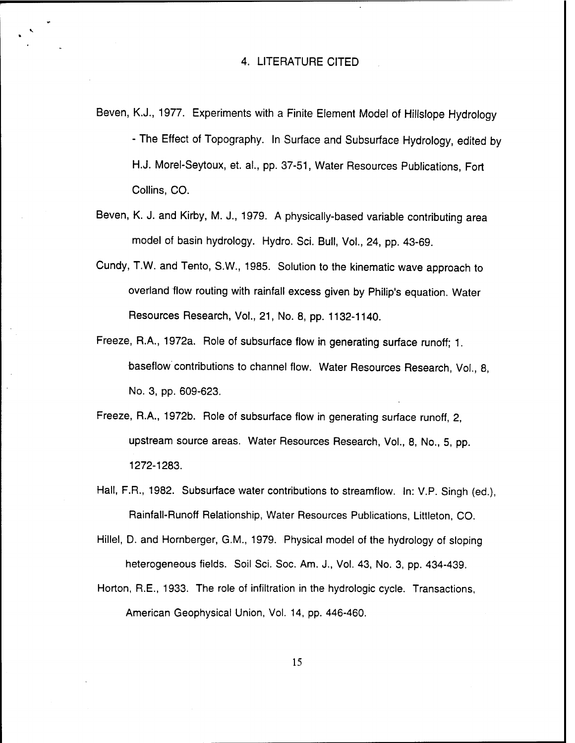Beven, K.J., 1977. Experiments with a Finite Element Model of Hillslope Hydrology - The Effect of Topography. In Surface and Subsurface Hydrology, edited by H.J. Morel-Seytoux, et. al., pp. 37-51, Water Resources Publications, Fort Collins, CO.

- Beven, K. J. and Kirby, M. J., 1979. A physically-based variable contributing area model of basin hydrology. Hydro. Sei. Bull, Vol., 24, pp. 43-69.
- Cundy, T.W. and Tento, S.W., 1985. Solution to the kinematic wave approach to overland flow routing with rainfall excess given by Philip's equation. Water Resources Research, Vol., 21, No. 8, pp. 1132-1140.
- Freeze, R.A., 1972a. Role of subsurface flow in generating surface runoff; 1. baseflow contributions to channel flow. Water Resources Research, Vol., 8, No. 3, pp. 609-623.
- Freeze, R.A., 1972b. Role of subsurface flow in generating surface runoff, 2, upstream source areas. Water Resources Research, Vol., 8, No., 5, pp. 1272-1283.
- Hall, F.R., 1982. Subsurface water contributions to streamflow. In: V.P. Singh (ed.), Rainfall-Runoff Relationship, Water Resources Publications, Littleton, CO.

Hillel, D. and Hornberger, G.M., 1979. Physical model of the hydrology of sloping heterogeneous fields. Soil Sei. Soc. Am. J., Vol. 43, No. 3, pp. 434-439.

Horton, R.E., 1933. The role of infiltration in the hydrologic cycle. Transactions, American Geophysical Union, Vol. 14, pp. 446-460.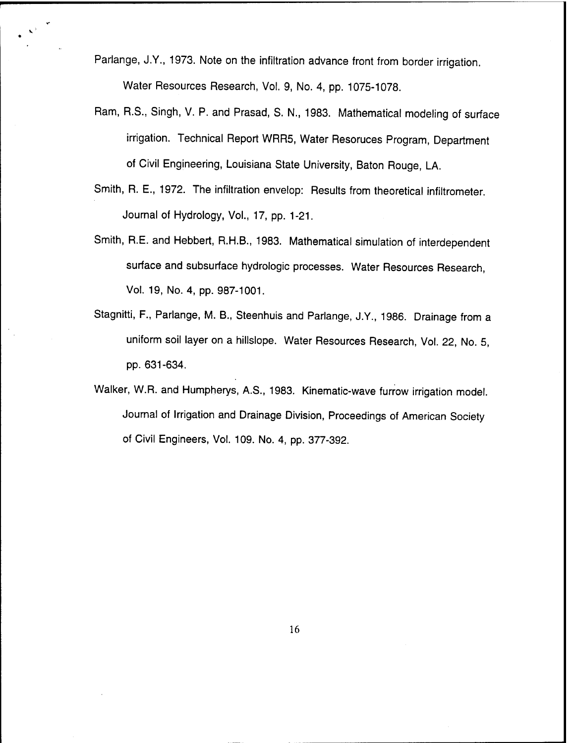Parlange, J.Y., 1973. Note on the infiltration advance front from border irrigation. Water Resources Research, Vol. 9, No. 4, pp. 1075-1078.

- Ram, R.S., Singh, V. P. and Prasad, S. N., 1983. Mathematical modeling of surface irrigation. Technical Report WRR5, Water Resoruces Program, Department of Civil Engineering, Louisiana State University, Baton Rouge, LA.
- Smith, R. E., 1972. The infiltration envelop: Results from theoretical infiltrometer. Journal of Hydrology, Vol., 17, pp. 1-21.
- Smith, R.E. and Hebbert, R.H.B., 1983. Mathematical simulation of interdependent surface and subsurface hydrologic processes. Water Resources Research, Vol. 19, No. 4, pp. 987-1001.
- Stagnitti, F., Parlange, M. B., Steenhuis and Parlange, J.Y., 1986. Drainage from a uniform soil layer on a hillslope. Water Resources Research, Vol. 22, No. 5, pp. 631-634.
- Walker, W.R. and Humpherys, A.S., 1983. Kinematic-wave furrow irrigation model. Journal of Irrigation and Drainage Division, Proceedings of American Society of Civil Engineers, Vol. 109. No. 4, pp. 377-392.